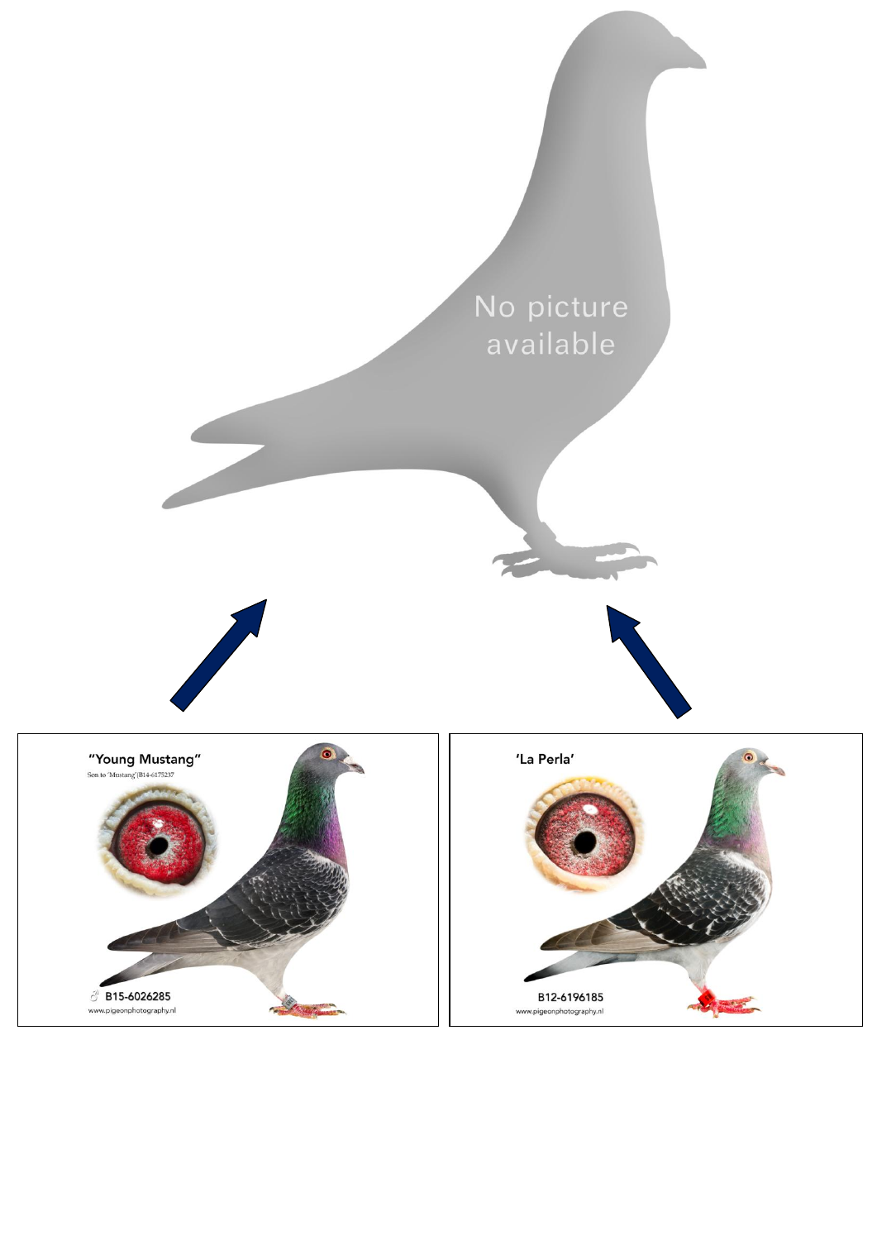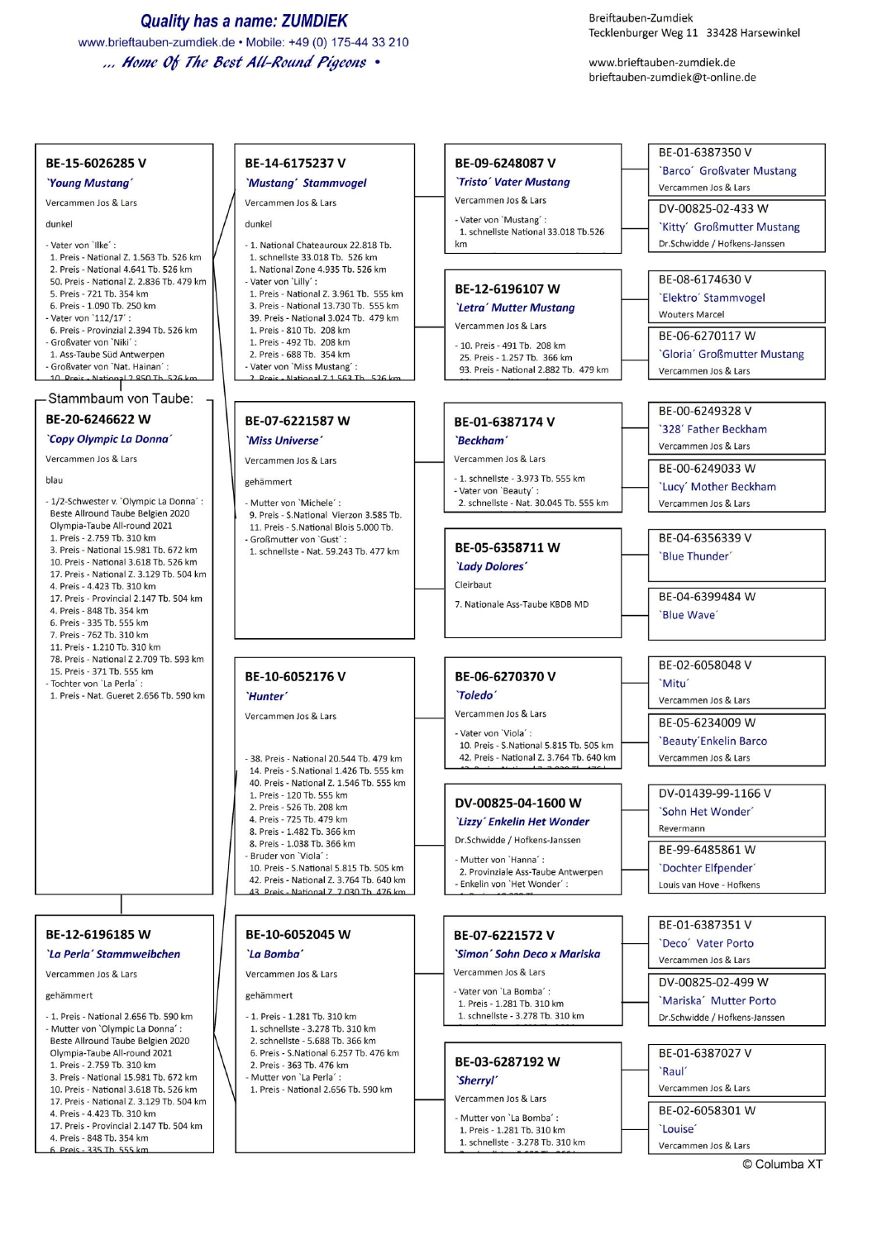**Quality has a name: ZUMDIEK** www.brieftauben-zumdiek.de • Mobile: +49 (0) 175-44 33 210 ... Home Of The Best All-Round Pigeons .

Breiftauben-Zumdiek Tecklenburger Weg 11 33428 Harsewinkel

www.brieftauben-zumdiek.de brieftauben-zumdiek@t-online.de

#### BE-15-6026285 V

'Young Mustang'

#### Vercammen Jos & Lars

dunkel

- Vater von 'Ilke': 1. Preis - National Z. 1.563 Tb. 526 km 2. Preis - National 4.641 Tb. 526 km 50. Preis - National Z. 2.836 Tb. 479 km 5. Preis - 721 Tb. 354 km 6. Preis - 1.090 Tb. 250 km - Vater von '112/17' 6. Preis - Provinzial 2.394 Tb. 526 km - Großvater von `Niki´ 1. Ass-Taube Süd Antwerpen - Großvater von 'Nat. Hainan' 10 Proje - National 2 850 Th 526

#### Stammbaum von Taube:

# BE-20-6246622 W

`Copy Olympic La Donna'

Vercammen Jos & Lars

blau

- 1/2-Schwester v. `Olympic La Donna´ : Beste Allround Taube Belgien 2020 Olympia-Taube All-round 2021 1. Preis - 2.759 Tb. 310 km 3. Preis - National 15.981 Tb. 672 km 10. Preis - National 3.618 Tb. 526 km 17. Preis - National Z. 3.129 Tb. 504 km 4. Preis - 4.423 Tb. 310 km 17. Preis - Provincial 2.147 Tb. 504 km 4. Preis - 848 Tb. 354 km 6. Preis - 335 Tb. 555 km 7. Preis - 762 Tb. 310 km 11 Preis - 1 210 Th 310 km 78. Preis - National Z 2.709 Tb, 593 km 15. Preis - 371 Tb. 555 km - Tochter von 'La Perla' : 1. Preis - Nat. Gueret 2.656 Tb. 590 km

# BE-12-6196185 W

'La Perla' Stammweibchen

Vercammen Jos & Lars

gehämmert

- 1. Preis - National 2.656 Tb. 590 km - Mutter von 'Olympic La Donna' Beste Allround Taube Belgien 2020 Olympia-Taube All-round 2021 1. Preis - 2.759 Tb. 310 km 3. Preis - National 15.981 Tb, 672 km 10. Preis - National 3.618 Tb. 526 km 17. Preis - National Z. 3.129 Tb. 504 km 4. Preis - 4.423 Tb. 310 km 17. Preis - Provincial 2.147 Tb. 504 km 4. Preis - 848 Tb. 354 km 6 Preis - 335 Th 555 kn

# BE-14-6175237 V 'Mustang' Stammvogel

# Vercammen Jos & Lars

dunkel

- 1. National Chateauroux 22.818 Tb. 1. schnellste 33.018 Tb. 526 km 1. National Zone 4.935 Tb. 526 km - Vater von 'Lilly' 1. Preis - National Z. 3.961 Tb. 555 km 3. Preis - National 13.730 Tb. 555 km 39. Preis - National 3.024 Tb. 479 km 1. Preis - 810 Tb. 208 km 1. Preis - 492 Tb. 208 km 2. Preis - 688 Tb. 354 km - Vater von 'Miss Mustang' 2 Proje - National 7 1 563

# BE-07-6221587 W

'Miss Universe'

Vercammen Jos & Lars gehämmert

- Mutter von 'Michele' : 9. Preis - S.National Vierzon 3.585 Tb. 11. Preis - S.National Blois 5.000 Tb. - Großmutter von 'Gust' 1. schnellste - Nat. 59.243 Tb. 477 km

'Hunter'

BE-10-6052176V

Vercammen Jos & Lars

- 38 Preis National 20 544 Th 479 km 14. Preis - S. National 1.426 Th. 555 km 40. Preis - National Z. 1.546 Tb. 555 km 1. Preis - 120 Tb. 555 km 2. Preis - 526 Tb. 208 km 4. Preis - 725 Tb. 479 km 8. Preis - 1.482 Tb. 366 km 8. Preis - 1.038 Tb. 366 km Bruder von 'Viola': 10. Preis - S.National 5.815 Tb. 505 km
- 42. Preis National Z. 3.764 Tb. 640 km 43 Preis - National 7, 7 030 Th, 476 kg

# BE-10-6052045 W 'La Bomba'

Vercammen Jos & Lars

gehämmert

- 1. Preis 1.281 Tb. 310 km
- 1. schnellste 3.278 Tb. 310 km 2. schnellste - 5.688 Tb. 366 km
- 6. Preis S.National 6.257 Tb. 476 km
- 2. Preis 363 Tb. 476 km - Mutter von 'La Perla'
- 1. Preis National 2.656 Tb. 590 km

BE-09-6248087 V **`Tristo' Vater Mustana** 

Vercammen Jos & Lars

- Vater von 'Mustang' 1. schnellste National 33.018 Tb.526  $km$ 

# BE-12-6196107 W

'Letra' Mutter Mustana Vercammen Jos & Lars

- 10. Preis 491 Tb. 208 km 25. Preis - 1.257 Tb. 366 km 93. Preis - National 2.882 Tb. 479 km
- BE-01-6387174 V

### `Beckham'

Vercammen Jos & Lars

- 1. schnellste - 3.973 Tb. 555 km - Vater von 'Beauty' 2. schnellste - Nat. 30.045 Tb. 555 km

## BE-05-6358711W

'Lady Dolores' Cleirbaut 7. Nationale Ass-Taube KBDB MD

# BE-06-6270370 V `Toledo`

Vercammen Jos & Lars

- Vater von 'Viola': 10. Preis - S.National 5.815 Tb. 505 km 42. Preis - National Z. 3.764 Tb. 640 km

## DV-00825-04-1600 W

'Lizzy' Enkelin Het Wonder

1. schnellste - 3.278 Tb. 310 km

### BE-03-6287192 W `Sherryl'

Vercammen Jos & Lars

- Mutter von 'La Bomba': 1. Preis - 1.281 Tb. 310 km 1. schnellste - 3.278 Tb. 310 km

| BE-01-6387350 V               |
|-------------------------------|
| 'Barco' Großvater Mustang     |
| Vercammen Jos & Lars          |
| DV-00825-02-433 W             |
| `Kitty' Großmutter Mustang    |
| Dr.Schwidde / Hofkens-Janssen |

BE-08-6174630V

'Elektro' Stammvogel

**Wouters Marcel** 

BE-06-6270117 W 'Gloria' Großmutter Mustang

Vercammen Jos & Lars

BE-00-6249328 V

'328' Father Beckham

Vercammen Jos & Lars BE-00-6249033 W

'Lucy' Mother Beckham Vercammen Jos & Lars

BE-04-6356339 V 'Blue Thunder'

BE-04-6399484 W 'Blue Wave'

BE-02-6058048 V `Mitu'

Vercammen Jos & Lars

BE-05-6234009 W 'Beauty'Enkelin Barco Vercammen Jos & Lars

DV-01439-99-1166 V

'Sohn Het Wonder'

Revermann

BE-99-6485861W

'Dochter Elfpender'

Louis van Hove - Hofkens

BE-01-6387351V 'Deco' Vater Porto

Vercammen Jos & Lars

DV-00825-02-499 W

'Mariska' Mutter Porto

Dr.Schwidde / Hofkens-Janssen

BE-01-6387027 V

`Raul'

Vercammen Jos & Lars

BE-02-6058301 W

Vercammen Jos & Lars

*`Louise* 

Dr.Schwidde / Hofkens-Janssen - Mutter von 'Hanna' 2. Provinziale Ass-Taube Antwerpen Enkelin von 'Het Wonder': BE-07-6221572V 'Simon' Sohn Deco x Mariska Vercammen Jos & Lars - Vater von 'La Bomba': 1. Preis - 1.281 Tb. 310 km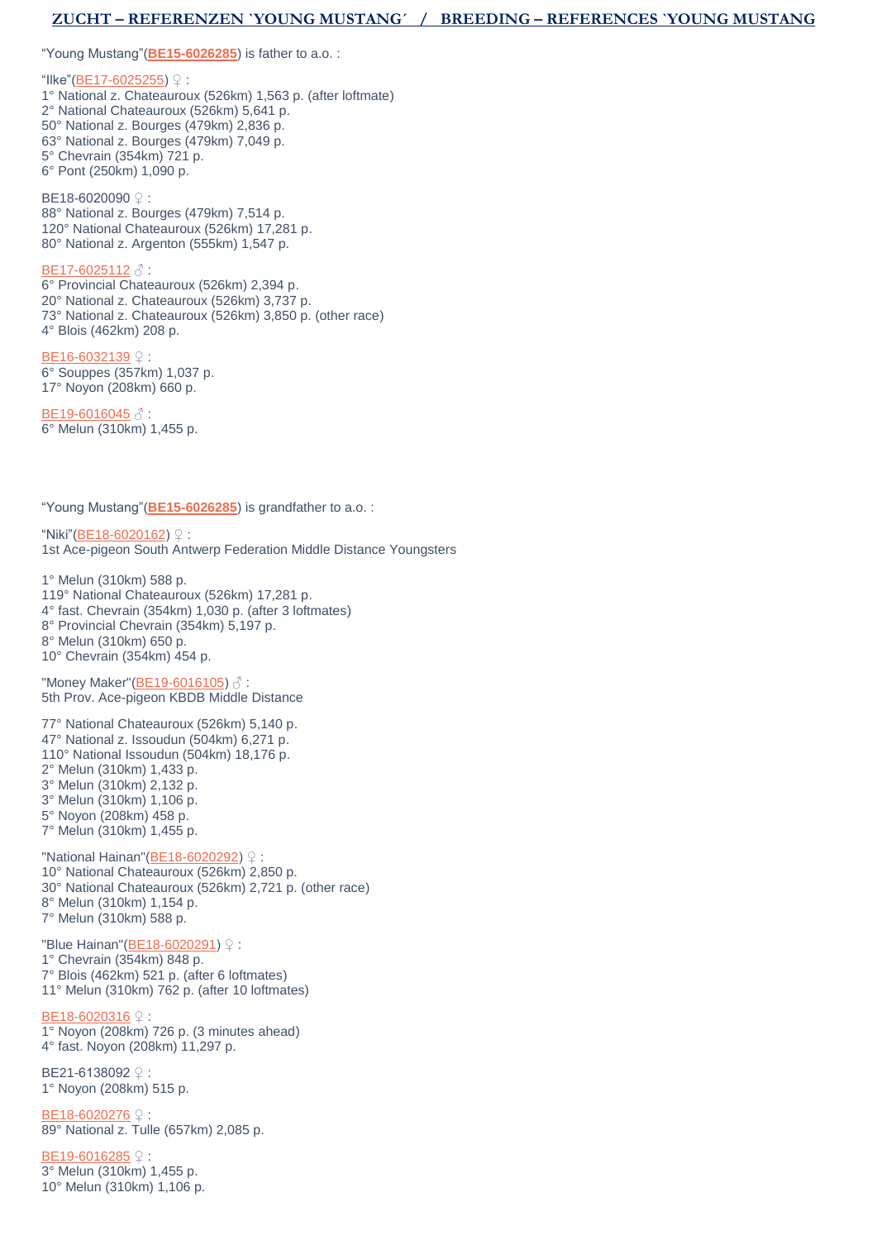# **ZUCHT – REFERENZEN `YOUNG MUSTANG´ / BREEDING – REFERENCES `YOUNG MUSTANG**

"Young Mustang"(**[BE15-6026285](https://www.hokjosvercammen.com/pigeon/be15-6026285-0)**) is father to a.o. :

"Ilke"[\(BE17-6025255\)](https://www.hokjosvercammen.com/pigeon/be17-6025255) ♀ : 1° National z. Chateauroux (526km) 1,563 p. (after loftmate) 2° National Chateauroux (526km) 5,641 p. 50° National z. Bourges (479km) 2,836 p. 63° National z. Bourges (479km) 7,049 p. 5° Chevrain (354km) 721 p. 6° Pont (250km) 1,090 p.

BE18-6020090 ♀ : 88° National z. Bourges (479km) 7,514 p. 120° National Chateauroux (526km) 17,281 p. 80° National z. Argenton (555km) 1,547 p.

#### [BE17-6025112](https://www.hokjosvercammen.com/pigeon/be17-6025112) ♂ :

6° Provincial Chateauroux (526km) 2,394 p. 20° National z. Chateauroux (526km) 3,737 p. 73° National z. Chateauroux (526km) 3,850 p. (other race) 4° Blois (462km) 208 p.

[BE16-6032139](https://www.hokjosvercammen.com/pigeon/be16-6032139) ♀ : 6° Souppes (357km) 1,037 p. 17° Noyon (208km) 660 p.

[BE19-6016045](https://www.hokjosvercammen.com/pigeon/be19-6016045) ♂ : 6° Melun (310km) 1,455 p.

"Young Mustang"(**[BE15-6026285](https://www.hokjosvercammen.com/pigeon/be15-6026285-0)**) is grandfather to a.o. :

"Niki"[\(BE18-6020162\)](https://www.hokjosvercammen.com/pigeon/be18-6020162) ♀ : 1st Ace-pigeon South Antwerp Federation Middle Distance Youngsters

1° Melun (310km) 588 p. 119° National Chateauroux (526km) 17,281 p. 4° fast. Chevrain (354km) 1,030 p. (after 3 loftmates) 8° Provincial Chevrain (354km) 5,197 p. 8° Melun (310km) 650 p. 10° Chevrain (354km) 454 p.

"Money Maker"[\(BE19-6016105\)](https://www.hokjosvercammen.com/pigeon/be19-6016105-0) ♂ : 5th Prov. Ace-pigeon KBDB Middle Distance

77° National Chateauroux (526km) 5,140 p. 47° National z. Issoudun (504km) 6,271 p. 110° National Issoudun (504km) 18,176 p. 2° Melun (310km) 1,433 p. 3° Melun (310km) 2,132 p. 3° Melun (310km) 1,106 p. 5° Noyon (208km) 458 p. 7° Melun (310km) 1,455 p.

"National Hainan"[\(BE18-6020292\)](https://www.hokjosvercammen.com/pigeon/be18-6020292) ♀ : 10° National Chateauroux (526km) 2,850 p. 30° National Chateauroux (526km) 2,721 p. (other race) 8° Melun (310km) 1,154 p. 7° Melun (310km) 588 p.

"Blue Hainan"[\(BE18-6020291\)](https://www.hokjosvercammen.com/pigeon/be18-6020291) ♀ : 1° Chevrain (354km) 848 p. 7° Blois (462km) 521 p. (after 6 loftmates) 11° Melun (310km) 762 p. (after 10 loftmates)

[BE18-6020316](https://www.hokjosvercammen.com/pigeon/be18-6020316) ♀ 1° Noyon (208km) 726 p. (3 minutes ahead) 4° fast. Noyon (208km) 11,297 p.

BE21-6138092 ♀ : 1° Noyon (208km) 515 p.

[BE18-6020276](https://www.hokjosvercammen.com/pigeon/be18-6020276) ♀ 89° National z. Tulle (657km) 2,085 p.

[BE19-6016285](https://www.hokjosvercammen.com/pigeon/be19-6016285) ♀: 3° Melun (310km) 1,455 p. 10° Melun (310km) 1,106 p.